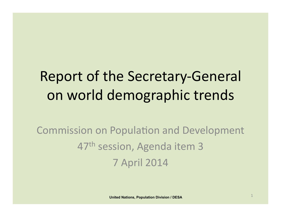# Report of the Secretary-General on world demographic trends

Commission on Population and Development 47<sup>th</sup> session, Agenda item 3 7 April 2014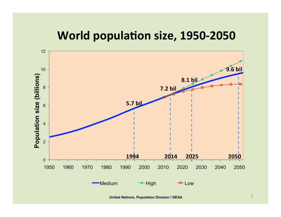## **World population size, 1950-2050**

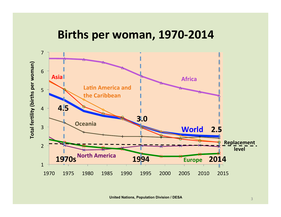#### Births per woman, 1970-2014

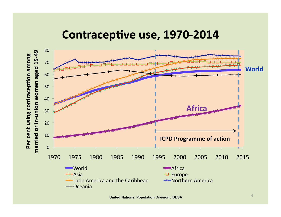#### Contraceptive use, 1970-2014

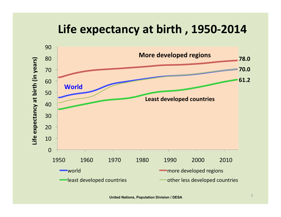## Life expectancy at birth, 1950-2014

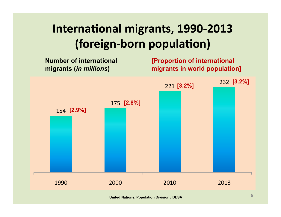## **International migrants, 1990-2013 (foreign-born population)**

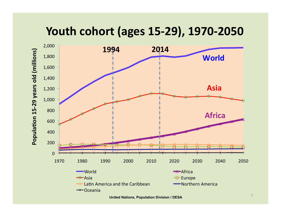### Youth cohort (ages 15-29), 1970-2050

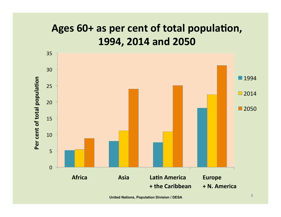## Ages 60+ as per cent of total population, 1994, 2014 and 2050